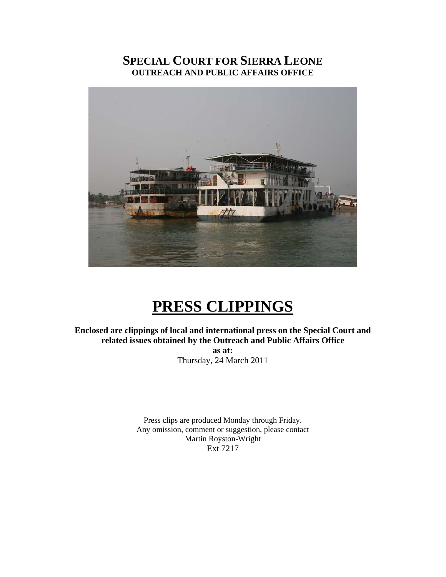# **SPECIAL COURT FOR SIERRA LEONE OUTREACH AND PUBLIC AFFAIRS OFFICE**



# **PRESS CLIPPINGS**

**Enclosed are clippings of local and international press on the Special Court and related issues obtained by the Outreach and Public Affairs Office** 

> **as at:**  Thursday, 24 March 2011

Press clips are produced Monday through Friday. Any omission, comment or suggestion, please contact Martin Royston-Wright Ext 7217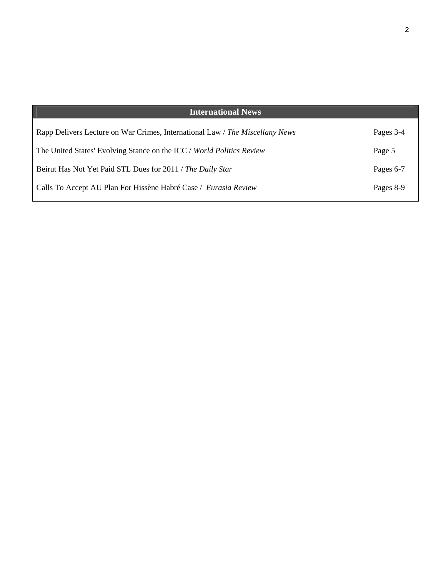| <b>International News</b>                                                    |           |
|------------------------------------------------------------------------------|-----------|
|                                                                              |           |
| Rapp Delivers Lecture on War Crimes, International Law / The Miscellany News | Pages 3-4 |
| The United States' Evolving Stance on the ICC / World Politics Review        | Page 5    |
|                                                                              |           |
| Beirut Has Not Yet Paid STL Dues for 2011 / The Daily Star                   | Pages 6-7 |
| Calls To Accept AU Plan For Hissène Habré Case / Eurasia Review              | Pages 8-9 |
|                                                                              |           |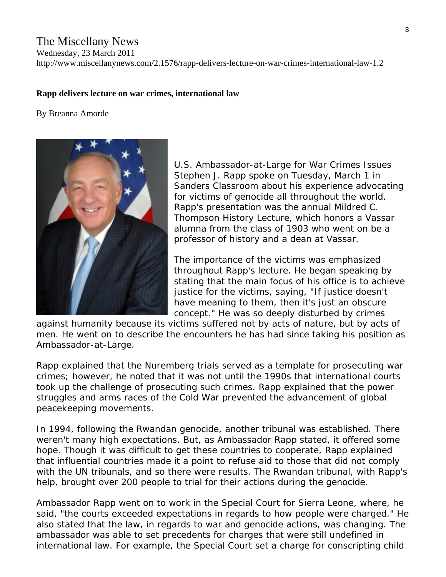# The Miscellany News

Wednesday, 23 March 2011

http://www.miscellanynews.com/2.1576/rapp-delivers-lecture-on-war-crimes-international-law-1.2

## **Rapp delivers lecture on war crimes, international law**

#### By [Breanna Amorde](http://www.miscellanynews.com/search?q=%22Breanna%20Amorde%22)



U.S. Ambassador-at-Large for War Crimes Issues Stephen J. Rapp spoke on Tuesday, March 1 in Sanders Classroom about his experience advocating for victims of genocide all throughout the world. Rapp's presentation was the annual Mildred C. Thompson History Lecture, which honors a Vassar alumna from the class of 1903 who went on be a professor of history and a dean at Vassar.

The importance of the victims was emphasized throughout Rapp's lecture. He began speaking by stating that the main focus of his office is to achieve justice for the victims, saying, "If justice doesn't have meaning to them, then it's just an obscure concept." He was so deeply disturbed by crimes

against humanity because its victims suffered not by acts of nature, but by acts of men. He went on to describe the encounters he has had since taking his position as Ambassador-at-Large.

Rapp explained that the Nuremberg trials served as a template for prosecuting war crimes; however, he noted that it was not until the 1990s that international courts took up the challenge of prosecuting such crimes. Rapp explained that the power struggles and arms races of the Cold War prevented the advancement of global peacekeeping movements.

In 1994, following the Rwandan genocide, another tribunal was established. There weren't many high expectations. But, as Ambassador Rapp stated, it offered some hope. Though it was difficult to get these countries to cooperate, Rapp explained that influential countries made it a point to refuse aid to those that did not comply with the UN tribunals, and so there were results. The Rwandan tribunal, with Rapp's help, brought over 200 people to trial for their actions during the genocide.

Ambassador Rapp went on to work in the Special Court for Sierra Leone, where, he said, "the courts exceeded expectations in regards to how people were charged." He also stated that the law, in regards to war and genocide actions, was changing. The ambassador was able to set precedents for charges that were still undefined in international law. For example, the Special Court set a charge for conscripting child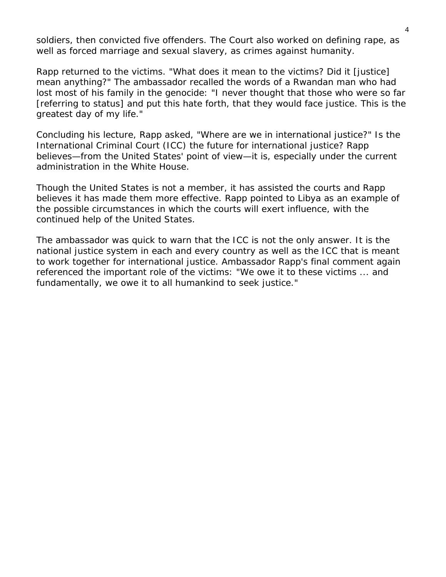soldiers, then convicted five offenders. The Court also worked on defining rape, as well as forced marriage and sexual slavery, as crimes against humanity.

Rapp returned to the victims. "What does it mean to the victims? Did it [justice] mean anything?" The ambassador recalled the words of a Rwandan man who had lost most of his family in the genocide: "I never thought that those who were so far [referring to status] and put this hate forth, that they would face justice. This is the greatest day of my life."

Concluding his lecture, Rapp asked, "Where are we in international justice?" Is the International Criminal Court (ICC) the future for international justice? Rapp believes—from the United States' point of view—it is, especially under the current administration in the White House.

Though the United States is not a member, it has assisted the courts and Rapp believes it has made them more effective. Rapp pointed to Libya as an example of the possible circumstances in which the courts will exert influence, with the continued help of the United States.

The ambassador was quick to warn that the ICC is not the only answer. It is the national justice system in each and every country as well as the ICC that is meant to work together for international justice. Ambassador Rapp's final comment again referenced the important role of the victims: "We owe it to these victims ... and fundamentally, we owe it to all humankind to seek justice."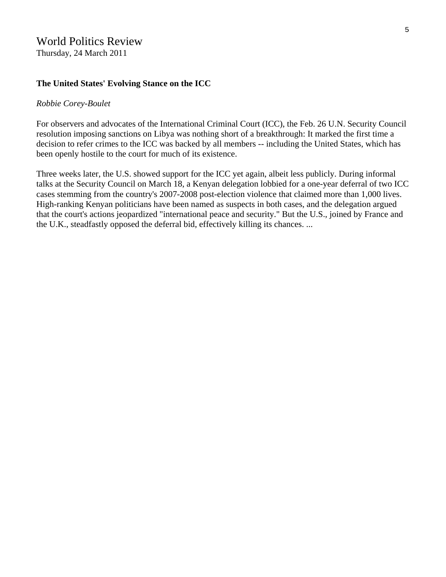# World Politics Review

Thursday, 24 March 2011

#### **The United States' Evolving Stance on the ICC**

#### *Robbie Corey-Boulet*

For observers and advocates of the International Criminal Court (ICC), the Feb. 26 U.N. Security Council resolution [imposing sanctions on Libya](http://daccess-ods.un.org/TMP/8035650.html) was nothing short of a breakthrough: It marked the first time a decision to refer crimes to the ICC was backed by all members -- including the United States, which has been openly hostile to the court for much of its existence.

Three weeks later, the U.S. showed support for the ICC yet again, albeit less publicly. During informal talks at the Security Council on March 18, a Kenyan delegation lobbied for a one-year deferral of [two ICC](http://www.icc-cpi.int/menus/icc/situations%20and%20cases/situations/situation%20icc%200109/)  [cases](http://www.icc-cpi.int/menus/icc/situations%20and%20cases/situations/situation%20icc%200109/) stemming from the country's 2007-2008 post-election violence that claimed more than 1,000 lives. High-ranking Kenyan politicians have been [named as suspects](http://www.worldpoliticsreview.com/articles/7402/icc-indictments-put-kenya-on-trial) in both cases, and the delegation argued that the court's actions jeopardized "international peace and security." But the U.S., joined by France and the U.K., steadfastly opposed the deferral bid, effectively killing its chances. ...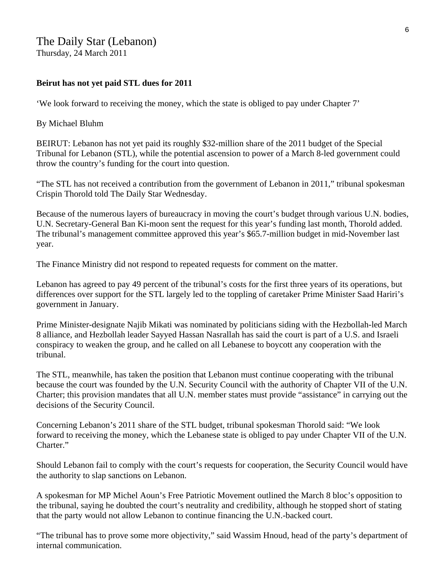# The Daily Star (Lebanon) Thursday, 24 March 2011

# **Beirut has not yet paid STL dues for 2011**

'We look forward to receiving the money, which the state is obliged to pay under Chapter 7'

# By Michael Bluhm

BEIRUT: Lebanon has not yet paid its roughly \$32-million share of the 2011 budget of the Special Tribunal for Lebanon (STL), while the potential ascension to power of a March 8-led government could throw the country's funding for the court into question.

"The STL has not received a contribution from the government of Lebanon in 2011," tribunal spokesman Crispin Thorold told The Daily Star Wednesday.

Because of the numerous layers of bureaucracy in moving the court's budget through various U.N. bodies, U.N. Secretary-General Ban Ki-moon sent the request for this year's funding last month, Thorold added. The tribunal's management committee approved this year's \$65.7-million budget in mid-November last year.

The Finance Ministry did not respond to repeated requests for comment on the matter.

Lebanon has agreed to pay 49 percent of the tribunal's costs for the first three years of its operations, but differences over support for the STL largely led to the toppling of caretaker Prime Minister Saad Hariri's government in January.

Prime Minister-designate Najib Mikati was nominated by politicians siding with the Hezbollah-led March 8 alliance, and Hezbollah leader Sayyed Hassan Nasrallah has said the court is part of a U.S. and Israeli conspiracy to weaken the group, and he called on all Lebanese to boycott any cooperation with the tribunal.

The STL, meanwhile, has taken the position that Lebanon must continue cooperating with the tribunal because the court was founded by the U.N. Security Council with the authority of Chapter VII of the U.N. Charter; this provision mandates that all U.N. member states must provide "assistance" in carrying out the decisions of the Security Council.

Concerning Lebanon's 2011 share of the STL budget, tribunal spokesman Thorold said: "We look forward to receiving the money, which the Lebanese state is obliged to pay under Chapter VII of the U.N. Charter."

Should Lebanon fail to comply with the court's requests for cooperation, the Security Council would have the authority to slap sanctions on Lebanon.

A spokesman for MP Michel Aoun's Free Patriotic Movement outlined the March 8 bloc's opposition to the tribunal, saying he doubted the court's neutrality and credibility, although he stopped short of stating that the party would not allow Lebanon to continue financing the U.N.-backed court.

"The tribunal has to prove some more objectivity," said Wassim Hnoud, head of the party's department of internal communication.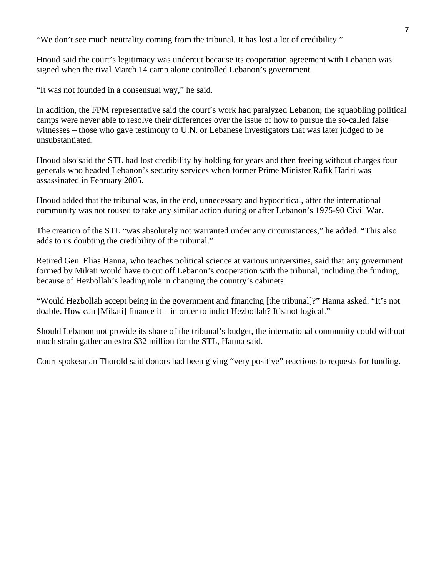"We don't see much neutrality coming from the tribunal. It has lost a lot of credibility."

Hnoud said the court's legitimacy was undercut because its cooperation agreement with Lebanon was signed when the rival March 14 camp alone controlled Lebanon's government.

"It was not founded in a consensual way," he said.

In addition, the FPM representative said the court's work had paralyzed Lebanon; the squabbling political camps were never able to resolve their differences over the issue of how to pursue the so-called false witnesses – those who gave testimony to U.N. or Lebanese investigators that was later judged to be unsubstantiated.

Hnoud also said the STL had lost credibility by holding for years and then freeing without charges four generals who headed Lebanon's security services when former Prime Minister Rafik Hariri was assassinated in February 2005.

Hnoud added that the tribunal was, in the end, unnecessary and hypocritical, after the international community was not roused to take any similar action during or after Lebanon's 1975-90 Civil War.

The creation of the STL "was absolutely not warranted under any circumstances," he added. "This also adds to us doubting the credibility of the tribunal."

Retired Gen. Elias Hanna, who teaches political science at various universities, said that any government formed by Mikati would have to cut off Lebanon's cooperation with the tribunal, including the funding, because of Hezbollah's leading role in changing the country's cabinets.

"Would Hezbollah accept being in the government and financing [the tribunal]?" Hanna asked. "It's not doable. How can [Mikati] finance it – in order to indict Hezbollah? It's not logical."

Should Lebanon not provide its share of the tribunal's budget, the international community could without much strain gather an extra \$32 million for the STL, Hanna said.

Court spokesman Thorold said donors had been giving "very positive" reactions to requests for funding.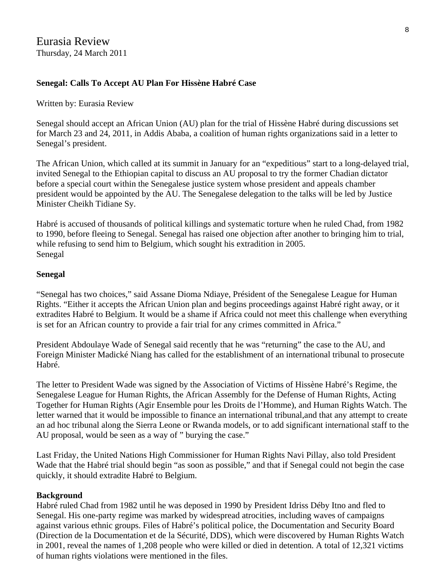# **Senegal: Calls To Accept AU Plan For Hissène Habré Case**

## Written by: Eurasia Review

Senegal should accept an African Union (AU) plan for the trial of Hissène Habré during discussions set for March 23 and 24, 2011, in Addis Ababa, a coalition of human rights organizations said in a letter to Senegal's president.

The African Union, which called at its summit in January for an "expeditious" start to a long-delayed trial, invited Senegal to the Ethiopian capital to discuss an AU proposal to try the former Chadian dictator before a special court within the Senegalese justice system whose president and appeals chamber president would be appointed by the AU. The Senegalese delegation to the talks will be led by Justice Minister Cheikh Tidiane Sy.

Habré is accused of thousands of political killings and systematic torture when he ruled Chad, from 1982 to 1990, before fleeing to Senegal. Senegal has raised one objection after another to bringing him to trial, while refusing to send him to Belgium, which sought his extradition in 2005. Senegal

## **Senegal**

"Senegal has two choices," said Assane Dioma Ndiaye, Président of the Senegalese League for Human Rights. "Either it accepts the African Union plan and begins proceedings against Habré right away, or it extradites Habré to Belgium. It would be a shame if Africa could not meet this challenge when everything is set for an African country to provide a fair trial for any crimes committed in Africa."

President Abdoulaye Wade of Senegal said recently that he was "returning" the case to the AU, and Foreign Minister Madické Niang has called for the establishment of an international tribunal to prosecute Habré.

The letter to President Wade was signed by the Association of Victims of Hissène Habré's Regime, the Senegalese League for Human Rights, the African Assembly for the Defense of Human Rights, Acting Together for Human Rights (Agir Ensemble pour les Droits de l'Homme), and Human Rights Watch. The letter warned that it would be impossible to finance an international tribunal,and that any attempt to create an ad hoc tribunal along the Sierra Leone or Rwanda models, or to add significant international staff to the AU proposal, would be seen as a way of " burying the case."

Last Friday, the United Nations High Commissioner for Human Rights Navi Pillay, also told President Wade that the Habré trial should begin "as soon as possible," and that if Senegal could not begin the case quickly, it should extradite Habré to Belgium.

# **Background**

Habré ruled Chad from 1982 until he was deposed in 1990 by President Idriss Déby Itno and fled to Senegal. His one-party regime was marked by widespread atrocities, including waves of campaigns against various ethnic groups. Files of Habré's political police, the Documentation and Security Board (Direction de la Documentation et de la Sécurité, DDS), which were discovered by Human Rights Watch in 2001, reveal the names of 1,208 people who were killed or died in detention. A total of 12,321 victims of human rights violations were mentioned in the files.